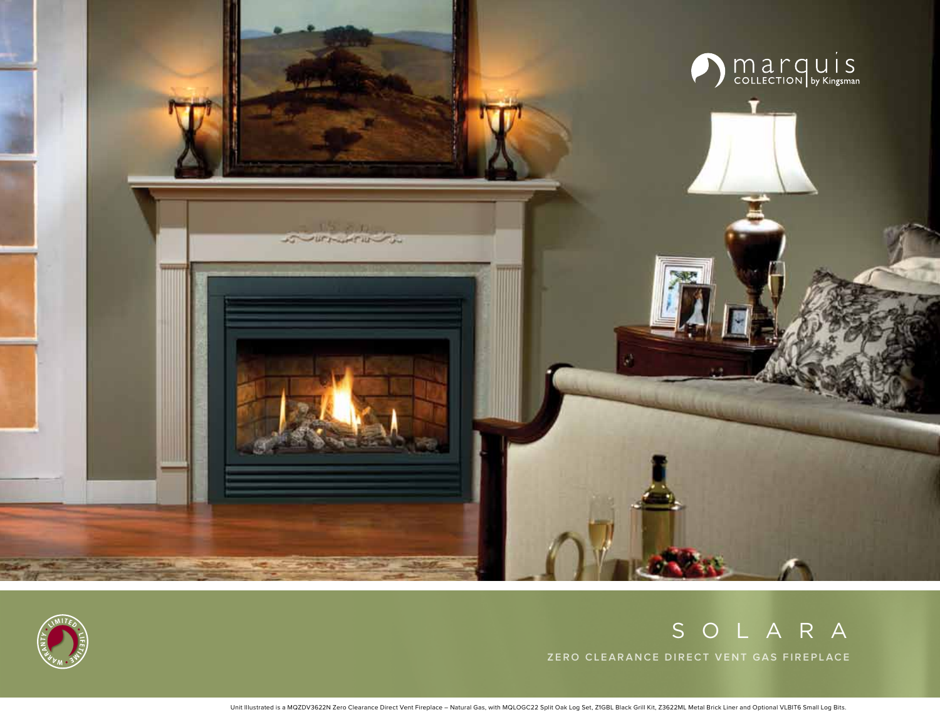



# SOLARA

**Zero clearance direct vent gas fireplace**

Unit Illustrated is a MQZDV3622N Zero Clearance Direct Vent Fireplace – Natural Gas, with MQLOGC22 Split Oak Log Set, Z1GBL Black Grill Kit, Z3622ML Metal Brick Liner and Optional VLBIT6 Small Log Bits.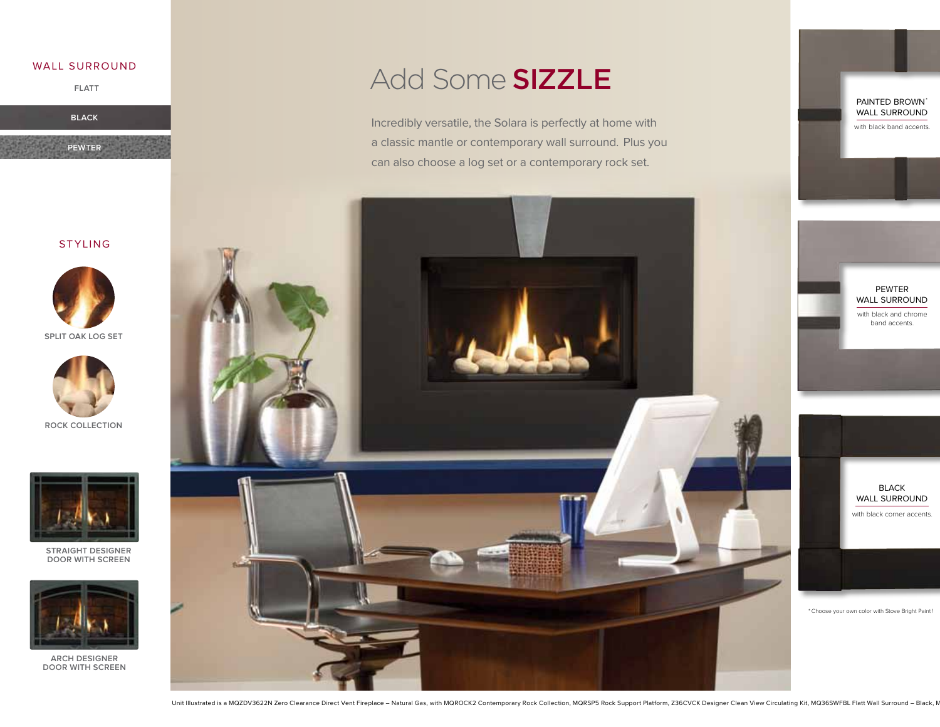### wall surround

**flatt**

**black**

**pewter**

## **STYLING**



**split oak log set**



**rock collection**



**Straight Designer Door with Screen**



**Arch Designer Door with Screen**

# Add Some SIZZLE

Incredibly versatile, the Solara is perfectly at home with a classic mantle or contemporary wall surround. Plus you can also choose a log set or a contemporary rock set.



with black band accents. PAINTED BROWN<sup>\*</sup> wall surround



with black corner accents. Black wall surround



\*Choose your own color with Stove Bright Paint !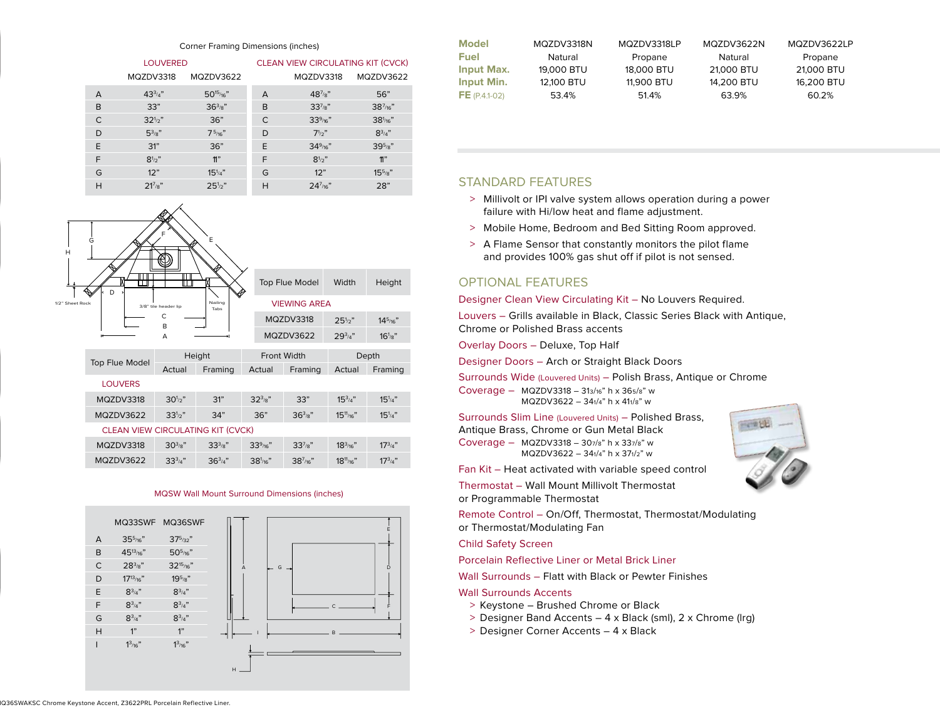#### Corner Framing Dimensions (inches)

|   | <b>LOUVERED</b> |                | <b>CLEAN VIEW CIRCULATING KIT (CVCK)</b> |                       |                      |  |
|---|-----------------|----------------|------------------------------------------|-----------------------|----------------------|--|
|   | MQZDV3318       | MQZDV3622      |                                          | MQZDV3318             | MQZDV3622            |  |
| A | $43^{3/4}$      | $50^{15}$ /16" | A                                        | $48^{7}_{8}$          | 56"                  |  |
| B | 33"             | $36^{3}/8"$    | B                                        | $33^{7}_{8}$ "        | $38^{7}_{/16}$ "     |  |
| C | $32^{1/2}$      | 36"            | $\subset$                                | 33 <sup>9</sup> / 16" | 38 <sup>1</sup> /16" |  |
| D | $5^{3}/s$ "     | $7^{5/16}$     | D                                        | $7^{1/2}$             | $8^{3/4}$            |  |
| E | 31"             | 36"            | E                                        | $34\frac{9}{16}$ "    | $39^{5}_{8}$ "       |  |
| F | $8^{1/2}$       | $n$ "          | F                                        | $8^{1/2}$ "           | $\mathfrak{n}$ "     |  |
| G | 12"             | $15^{1/4"$     | G                                        | 12"                   | $15^{5}_{8}$ "       |  |
| H | $21^{7}/8"$     | $25^{1/2}$     | H                                        | $24^{7}_{/16}$ "      | 28"                  |  |

| H               | G<br>IП<br>╓┰╖                           | ╓┬                                      | E           |               | Top Flue Model      | Width           | Height           |
|-----------------|------------------------------------------|-----------------------------------------|-------------|---------------|---------------------|-----------------|------------------|
| 1/2" Sheet Rock | D                                        | Nailing<br>3/8" tile header lip<br>Tabs |             |               | <b>VIEWING AREA</b> |                 |                  |
|                 | C<br>B                                   |                                         |             |               | MQZDV3318           | $25\frac{1}{2}$ | $14^{5}_{/16}$ " |
|                 |                                          | A                                       |             |               | MQZDV3622           | $29^{3/4"}$     | $16^{1}_{8}$ "   |
|                 | Top Flue Model                           | Height                                  |             | Front Width   |                     | Depth           |                  |
|                 |                                          | Actual                                  | Framing     | Actual        | Framing             | Actual          | Framing          |
|                 | <b>LOUVERS</b>                           |                                         |             |               |                     |                 |                  |
|                 |                                          |                                         |             |               |                     |                 |                  |
|                 | MQZDV3318                                | $30^{1/2}$ "                            | 31"         | $32^{3}/8"$   | 33"                 | $15^{3/4}$      | $15^{1/4"$       |
|                 | MQZDV3622                                | $33^{1/2}$ "                            | 34"         | 36"           | $36^{3}/8"$         | $15^{11}/16"$   | $15^{1/4"$       |
|                 | <b>CLEAN VIEW CIRCULATING KIT (CVCK)</b> |                                         |             |               |                     |                 |                  |
|                 | MQZDV3318                                | $30^{3/8}$ "                            | $33^{3}/8"$ | $33^{9/16}$ " | $33^{7}_{8}$ "      | $18^{3/16}$     | $17^{3/4}$       |

#### MQSW Wall Mount Surround Dimensions (inches)



| <b>Model</b>      | MQZDV3318N | MQZDV3318LP | MQZDV3622N | MQZDV3622LP |
|-------------------|------------|-------------|------------|-------------|
| Fuel              | Natural    | Propane     | Natural    | Propane     |
| <b>Input Max.</b> | 19,000 BTU | 18,000 BTU  | 21,000 BTU | 21,000 BTU  |
| <b>Input Min.</b> | 12,100 BTU | 11,900 BTU  | 14.200 BTU | 16.200 BTU  |
| $FE (P.4.1-02)$   | 53.4%      | 51.4%       | 63.9%      | 60.2%       |

## Standard Features

- > Millivolt or IPI valve system allows operation during a power failure with Hi/low heat and flame adjustment.
- > Mobile Home, Bedroom and Bed Sitting Room approved.
- > A Flame Sensor that constantly monitors the pilot flame and provides 100% gas shut off if pilot is not sensed.

## Optional Features

### Designer Clean View Circulating Kit – No Louvers Required.

Louvers – Grills available in Black, Classic Series Black with Antique, Chrome or Polished Brass accents

Overlay Doors – Deluxe, Top Half

Designer Doors – Arch or Straight Black Doors

Surrounds Wide (Louvered Units) – Polish Brass, Antique or Chrome

Coverage – MQZDV3318 – 313/16" h x 365/8" w MQZDV3622 – 341/4" h x 411/8" w

Surrounds Slim Line (Louvered Units) – Polished Brass,

Antique Brass, Chrome or Gun Metal Black Coverage – MQZDV3318 – 307/8" h x 337/8" w MQZDV3622 – 341/4" h x 371/2" w

Fan Kit – Heat activated with variable speed control

Thermostat – Wall Mount Millivolt Thermostat or Programmable Thermostat

Remote Control – On/Off, Thermostat, Thermostat/Modulating or Thermostat/Modulating Fan

Child Safety Screen

Porcelain Reflective Liner or Metal Brick Liner

Wall Surrounds – Flatt with Black or Pewter Finishes

- Wall Surrounds Accents
- > Keystone Brushed Chrome or Black
- > Designer Band Accents 4 x Black (sml), 2 x Chrome (lrg)
- > Designer Corner Accents 4 x Black